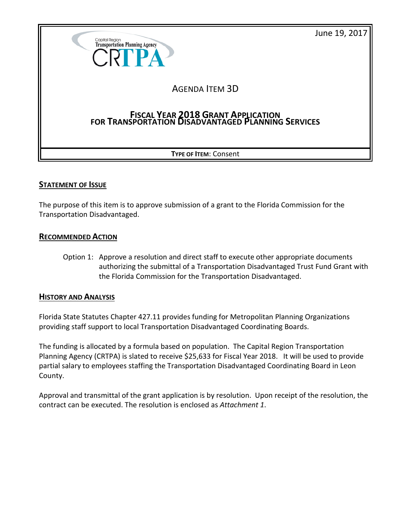June 19, 2017



## **STATEMENT OF ISSUE**

The purpose of this item is to approve submission of a grant to the Florida Commission for the Transportation Disadvantaged.

#### **RECOMMENDED ACTION**

Option 1: Approve a resolution and direct staff to execute other appropriate documents authorizing the submittal of a Transportation Disadvantaged Trust Fund Grant with the Florida Commission for the Transportation Disadvantaged.

## **HISTORY AND ANALYSIS**

Florida State Statutes Chapter 427.11 provides funding for Metropolitan Planning Organizations providing staff support to local Transportation Disadvantaged Coordinating Boards.

The funding is allocated by a formula based on population. The Capital Region Transportation Planning Agency (CRTPA) is slated to receive \$25,633 for Fiscal Year 2018. It will be used to provide partial salary to employees staffing the Transportation Disadvantaged Coordinating Board in Leon County.

Approval and transmittal of the grant application is by resolution. Upon receipt of the resolution, the contract can be executed. The resolution is enclosed as *Attachment 1*.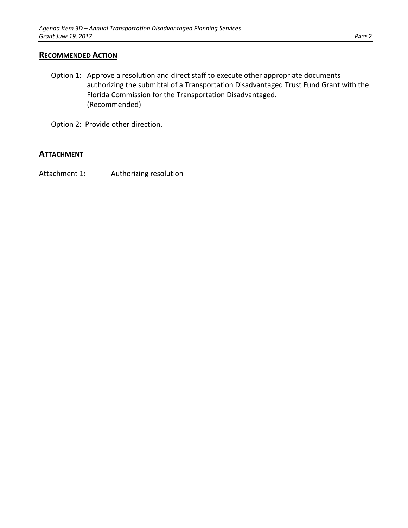#### **RECOMMENDED ACTION**

- Option 1: Approve a resolution and direct staff to execute other appropriate documents authorizing the submittal of a Transportation Disadvantaged Trust Fund Grant with the Florida Commission for the Transportation Disadvantaged. (Recommended)
- Option 2: Provide other direction.

#### **ATTACHMENT**

Attachment 1: Authorizing resolution